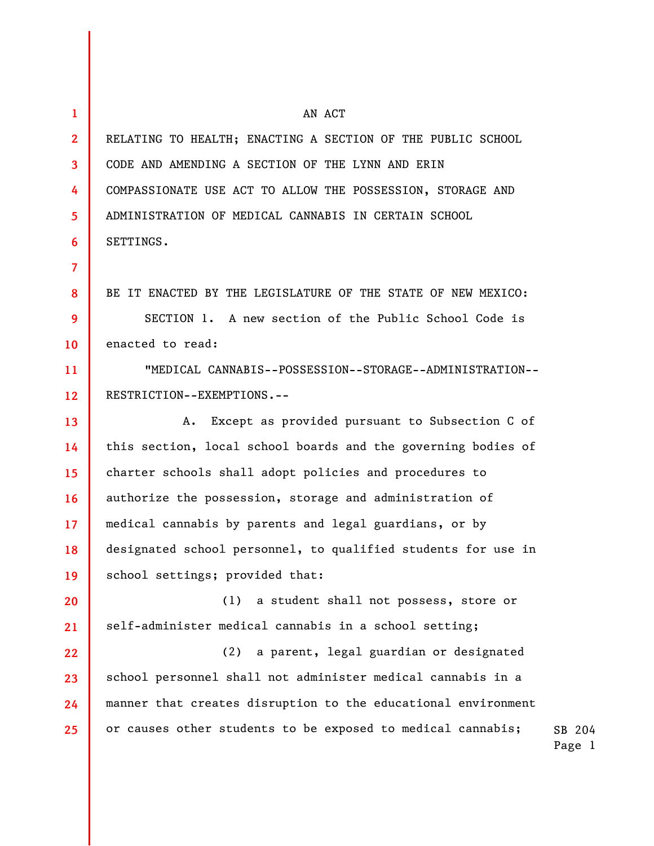| $\mathbf{1}$      | AN ACT                                                        |                  |
|-------------------|---------------------------------------------------------------|------------------|
| $\mathbf{2}$      | RELATING TO HEALTH; ENACTING A SECTION OF THE PUBLIC SCHOOL   |                  |
| 3                 | CODE AND AMENDING A SECTION OF THE LYNN AND ERIN              |                  |
| 4                 | COMPASSIONATE USE ACT TO ALLOW THE POSSESSION, STORAGE AND    |                  |
| 5                 | ADMINISTRATION OF MEDICAL CANNABIS IN CERTAIN SCHOOL          |                  |
| 6                 | SETTINGS.                                                     |                  |
| $\overline{7}$    |                                                               |                  |
| 8                 | BE IT ENACTED BY THE LEGISLATURE OF THE STATE OF NEW MEXICO:  |                  |
| 9                 | SECTION 1. A new section of the Public School Code is         |                  |
| 10                | enacted to read:                                              |                  |
| 11                | "MEDICAL CANNABIS--POSSESSION--STORAGE--ADMINISTRATION--      |                  |
| $12 \overline{ }$ | RESTRICTION--EXEMPTIONS.--                                    |                  |
| 13                | Except as provided pursuant to Subsection C of<br>Α.          |                  |
| 14                | this section, local school boards and the governing bodies of |                  |
| 15                | charter schools shall adopt policies and procedures to        |                  |
| 16                | authorize the possession, storage and administration of       |                  |
| 17 <sup>2</sup>   | medical cannabis by parents and legal guardians, or by        |                  |
| 18                | designated school personnel, to qualified students for use in |                  |
| 19                | school settings; provided that:                               |                  |
| 20                | (1)<br>a student shall not possess, store or                  |                  |
| 21                | self-administer medical cannabis in a school setting;         |                  |
| 22                | a parent, legal guardian or designated<br>(2)                 |                  |
| 23                | school personnel shall not administer medical cannabis in a   |                  |
| 24                | manner that creates disruption to the educational environment |                  |
| 25                | or causes other students to be exposed to medical cannabis;   | SB 204<br>Page 1 |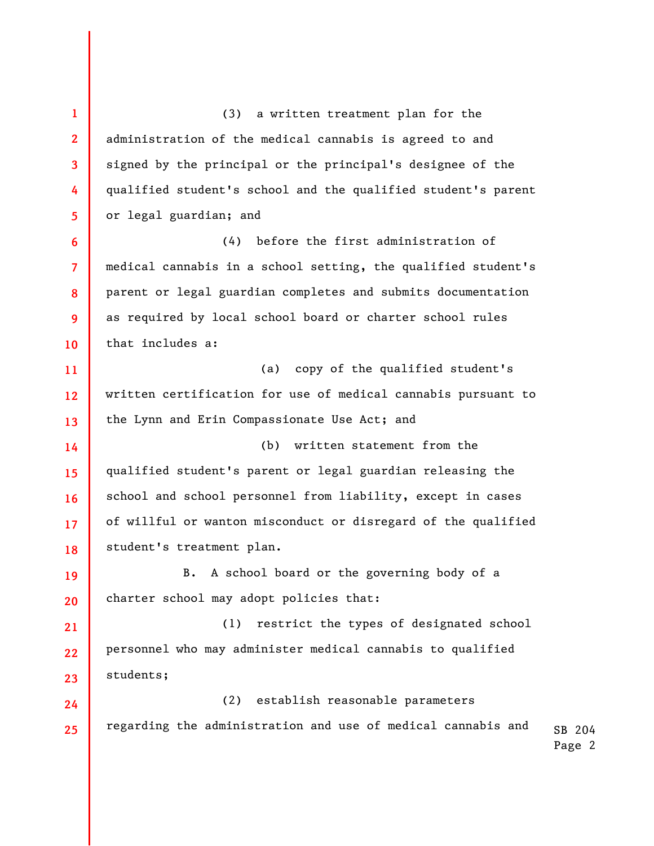SB 204 Page 2 **1 2 3 4 5 6 7 8 9 10 11 12 13 14 15 16 17 18 19 20 21 22 23 24 25**  (3) a written treatment plan for the administration of the medical cannabis is agreed to and signed by the principal or the principal's designee of the qualified student's school and the qualified student's parent or legal guardian; and (4) before the first administration of medical cannabis in a school setting, the qualified student's parent or legal guardian completes and submits documentation as required by local school board or charter school rules that includes a: (a) copy of the qualified student's written certification for use of medical cannabis pursuant to the Lynn and Erin Compassionate Use Act; and (b) written statement from the qualified student's parent or legal guardian releasing the school and school personnel from liability, except in cases of willful or wanton misconduct or disregard of the qualified student's treatment plan. B. A school board or the governing body of a charter school may adopt policies that: (1) restrict the types of designated school personnel who may administer medical cannabis to qualified students; (2) establish reasonable parameters regarding the administration and use of medical cannabis and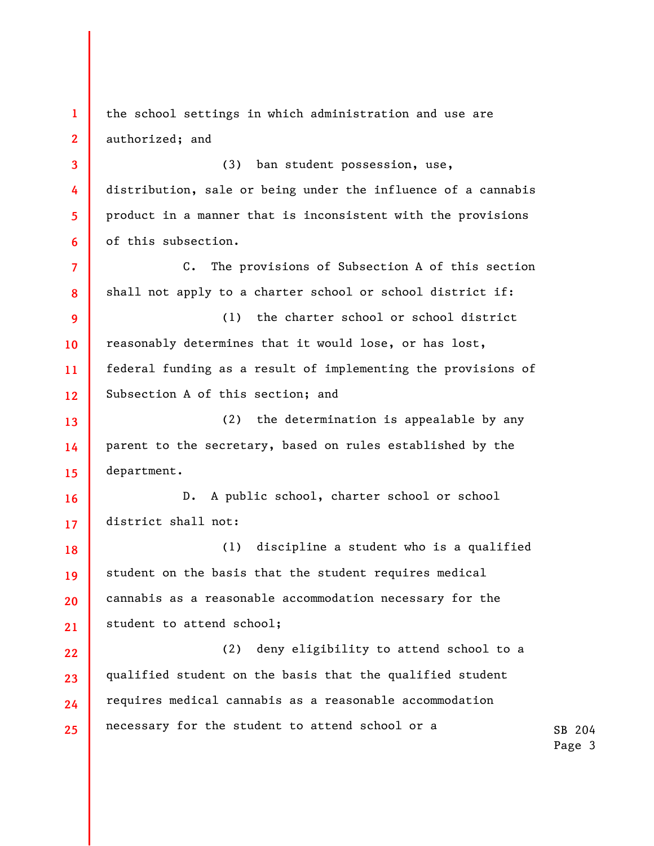**1 2 3 4 5 6 7 8 9 10 11 12 13 14 15 16 17 18 19 20 21 22 23 24 25**  the school settings in which administration and use are authorized; and (3) ban student possession, use, distribution, sale or being under the influence of a cannabis product in a manner that is inconsistent with the provisions of this subsection. C. The provisions of Subsection A of this section shall not apply to a charter school or school district if: (1) the charter school or school district reasonably determines that it would lose, or has lost, federal funding as a result of implementing the provisions of Subsection A of this section; and (2) the determination is appealable by any parent to the secretary, based on rules established by the department. D. A public school, charter school or school district shall not: (1) discipline a student who is a qualified student on the basis that the student requires medical cannabis as a reasonable accommodation necessary for the student to attend school; (2) deny eligibility to attend school to a qualified student on the basis that the qualified student requires medical cannabis as a reasonable accommodation necessary for the student to attend school or a

SB 204 Page 3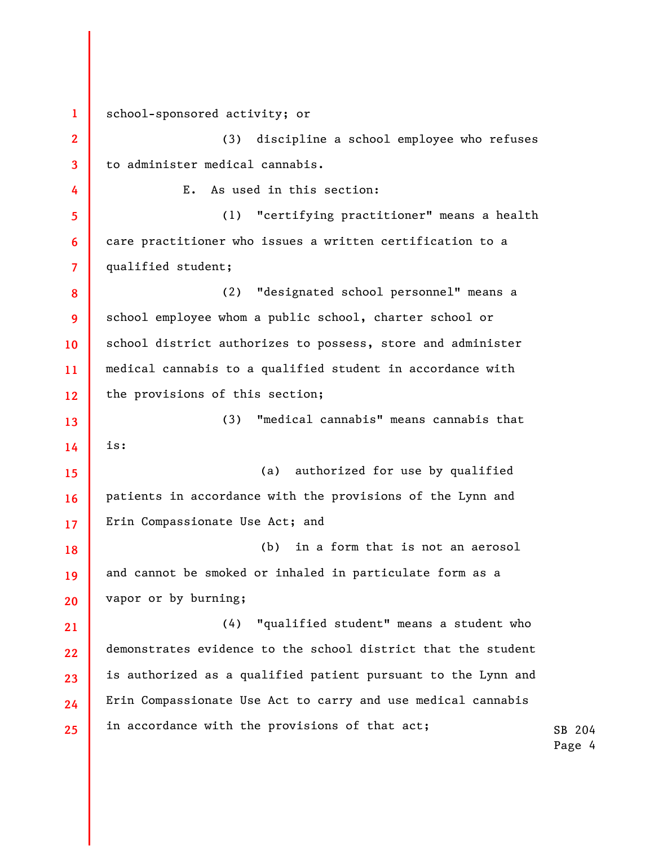**1 2 3 4 5 6 7 8 9 10 11 12 13 14 15 16 17 18 19 20 21 22 23 24 25**  school-sponsored activity; or (3) discipline a school employee who refuses to administer medical cannabis. E. As used in this section: (1) "certifying practitioner" means a health care practitioner who issues a written certification to a qualified student; (2) "designated school personnel" means a school employee whom a public school, charter school or school district authorizes to possess, store and administer medical cannabis to a qualified student in accordance with the provisions of this section; (3) "medical cannabis" means cannabis that is: (a) authorized for use by qualified patients in accordance with the provisions of the Lynn and Erin Compassionate Use Act; and (b) in a form that is not an aerosol and cannot be smoked or inhaled in particulate form as a vapor or by burning; (4) "qualified student" means a student who demonstrates evidence to the school district that the student is authorized as a qualified patient pursuant to the Lynn and Erin Compassionate Use Act to carry and use medical cannabis in accordance with the provisions of that act;

SB 204 Page 4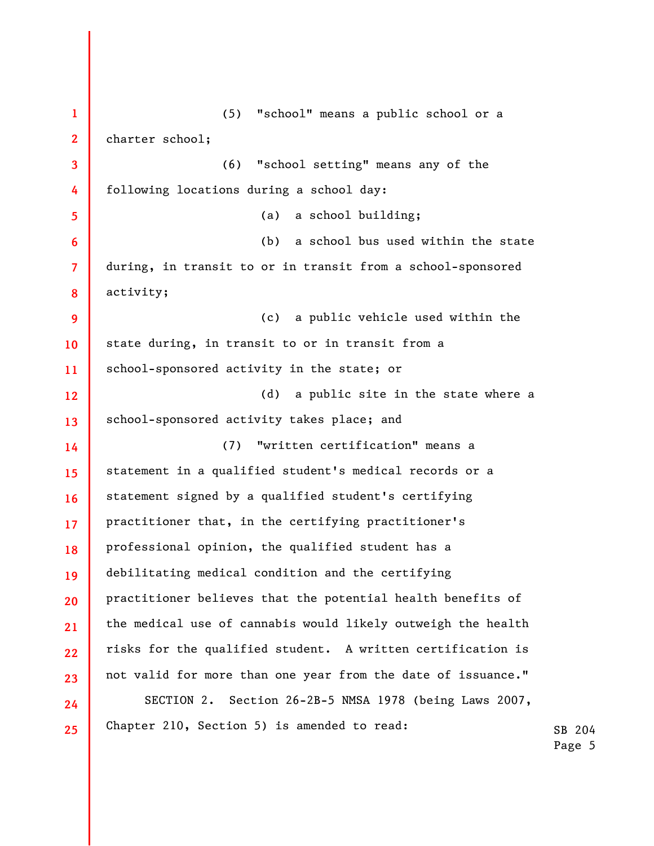**1 2 3 4 5 6 7 8 9 10 11 12 13 14 15 16 17 18 19 20 21 22 23 24 25**  (5) "school" means a public school or a charter school; (6) "school setting" means any of the following locations during a school day: (a) a school building; (b) a school bus used within the state during, in transit to or in transit from a school-sponsored activity; (c) a public vehicle used within the state during, in transit to or in transit from a school-sponsored activity in the state; or (d) a public site in the state where a school-sponsored activity takes place; and (7) "written certification" means a statement in a qualified student's medical records or a statement signed by a qualified student's certifying practitioner that, in the certifying practitioner's professional opinion, the qualified student has a debilitating medical condition and the certifying practitioner believes that the potential health benefits of the medical use of cannabis would likely outweigh the health risks for the qualified student. A written certification is not valid for more than one year from the date of issuance." SECTION 2. Section 26-2B-5 NMSA 1978 (being Laws 2007, Chapter 210, Section 5) is amended to read: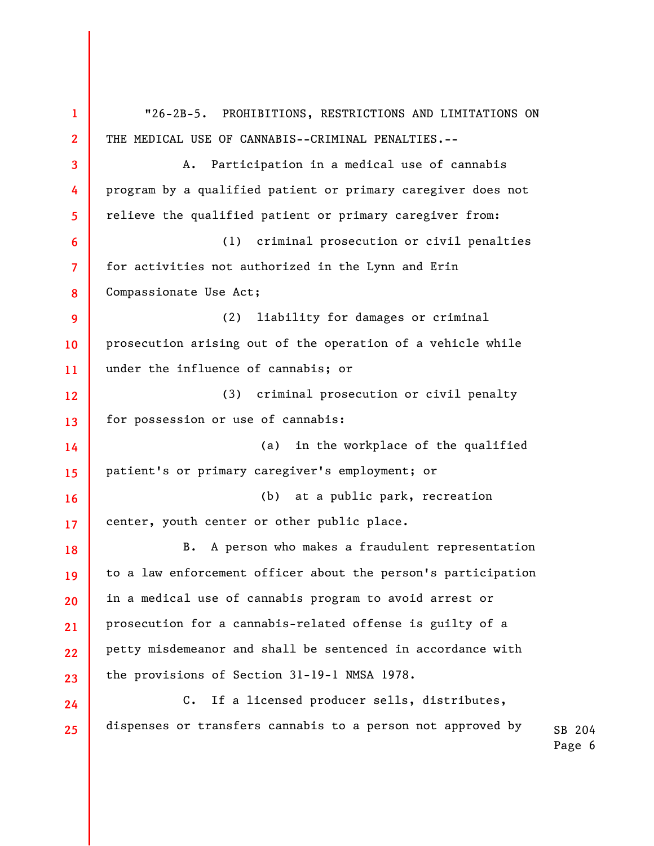SB 204 **1 2 3 4 5 6 7 8 9 10 11 12 13 14 15 16 17 18 19 20 21 22 23 24 25**  "26-2B-5. PROHIBITIONS, RESTRICTIONS AND LIMITATIONS ON THE MEDICAL USE OF CANNABIS--CRIMINAL PENALTIES.-- A. Participation in a medical use of cannabis program by a qualified patient or primary caregiver does not relieve the qualified patient or primary caregiver from: (1) criminal prosecution or civil penalties for activities not authorized in the Lynn and Erin Compassionate Use Act; (2) liability for damages or criminal prosecution arising out of the operation of a vehicle while under the influence of cannabis; or (3) criminal prosecution or civil penalty for possession or use of cannabis: (a) in the workplace of the qualified patient's or primary caregiver's employment; or (b) at a public park, recreation center, youth center or other public place. B. A person who makes a fraudulent representation to a law enforcement officer about the person's participation in a medical use of cannabis program to avoid arrest or prosecution for a cannabis-related offense is guilty of a petty misdemeanor and shall be sentenced in accordance with the provisions of Section 31-19-1 NMSA 1978. C. If a licensed producer sells, distributes, dispenses or transfers cannabis to a person not approved by

Page 6